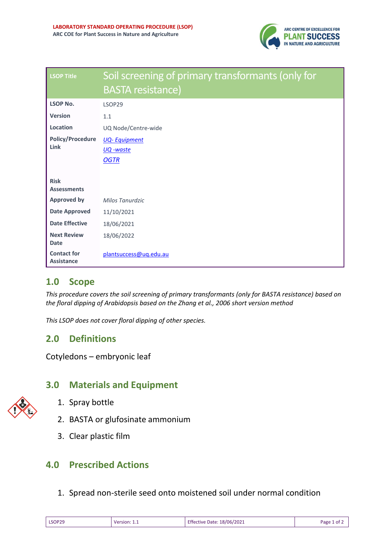

| <b>LSOP Title</b>                       | Soil screening of primary transformants (only for<br><b>BASTA resistance)</b> |
|-----------------------------------------|-------------------------------------------------------------------------------|
| <b>LSOP No.</b>                         | LSOP29                                                                        |
| <b>Version</b>                          | 1.1                                                                           |
| Location                                | UQ Node/Centre-wide                                                           |
| <b>Policy/Procedure</b><br>Link         | <b>UQ-Equipment</b><br><u> UQ -waste</u><br><b>OGTR</b>                       |
| <b>Risk</b><br><b>Assessments</b>       |                                                                               |
| <b>Approved by</b>                      | Milos Tanurdzic                                                               |
| <b>Date Approved</b>                    | 11/10/2021                                                                    |
| <b>Date Effective</b>                   | 18/06/2021                                                                    |
| <b>Next Review</b><br><b>Date</b>       | 18/06/2022                                                                    |
| <b>Contact for</b><br><b>Assistance</b> | plantsuccess@uq.edu.au                                                        |

# **1.0 Scope**

*This procedure covers the soil screening of primary transformants (only for BASTA resistance) based on the floral dipping of Arabidopsis based on the Zhang et al., 2006 short version method*

*This LSOP does not cover floral dipping of other species.*

# **2.0 Definitions**

Cotyledons – embryonic leaf

# **3.0 Materials and Equipment**

- 1. Spray bottle
- 2. BASTA or glufosinate ammonium
- 3. Clear plastic film

### **4.0 Prescribed Actions**

1. Spread non-sterile seed onto moistened soil under normal condition